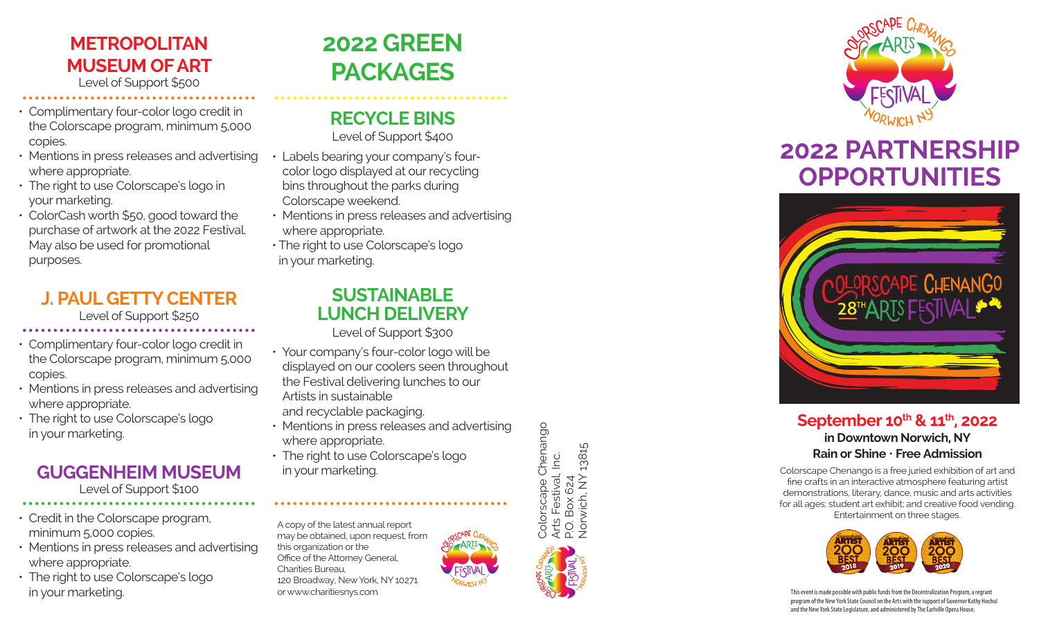### **METROPOLITAN MUSEUM OF ART** Level of Support \$500

- Complimentary four-color logo credit in the Colorscape program, minimum 5,000 copies.
- Mentions in press releases and advertising where appropriate.
- The right to use Colorscape's logo in your marketing.
- ColorCash worth \$50, good toward the purchase of artwork at the 2022 Festival. May also be used for promotional purposes.

# **J. PAUL GETTY CENTER**

Level of Support \$250

- Complimentary four-color logo credit in the Colorscape program, minimum 5,000 copies.
- Mentions in press releases and advertising where appropriate.
- The right to use Colorscape's logo in your marketing.

#### **GUGGENHEIM MUSEUM** Level of Support \$100

- Credit in the Colorscape program, minimum 5,000 copies.
- Mentions in press releases and advertising where appropriate.
- The right to use Colorscape's logo in your marketing.

# **2022 GREEN PACKAGES**

# **RECYCLE BINS**

Level of Support \$400

- Labels bearing your company's four color logo displayed at our recycling bins throughout the parks during Colorscape weekend.
- Mentions in press releases and advertising where appropriate.
- The right to use Colorscape's logo in your marketing.

## **SUSTAINABLE LUNCH DELIVERY**

Level of Support \$300

- Your company's four-color logo will be displayed on our coolers seen throughout the Festival delivering lunches to our Artists in sustainable and recyclable packaging.
- Mentions in press releases and advertising where appropriate.
- The right to use Colorscape's logo in your marketing.

A copy of the latest annual report may be obtained, upon request, from this organization or the Office of the Attorney General, Charities Bureau, 120 Broadway, New York, NY 10271 or www.charitiesnys.com

Colorscape Chenango Colorscape Chenango Norwich, NY 13815 Norwich, NY 13815 Arts Festival, Inc.<br>P.O. Box 624 Arts Festival, Inc. P.O. Box 624



# **2022 PARTNERSHIP OPPORTUNITIES**



### September 10<sup>th</sup> & 11<sup>th</sup>, 2022 **in Downtown Norwich, NY Rain or Shine** • **Free Admission**

Colorscape Chenango is a free juried exhibition of art and fine crafts in an interactive atmosphere featuring artist demonstrations, literary, dance, music and arts activities for all ages; student art exhibit; and creative food vending. Entertainment on three stages.



This event is made possible with public funds from the Decentralization Program, a regrant program of the New York State Council on the Arts with the support of Governor Kathy Hochul and the New York State Legislature, and administered by The Earlville Opera House.